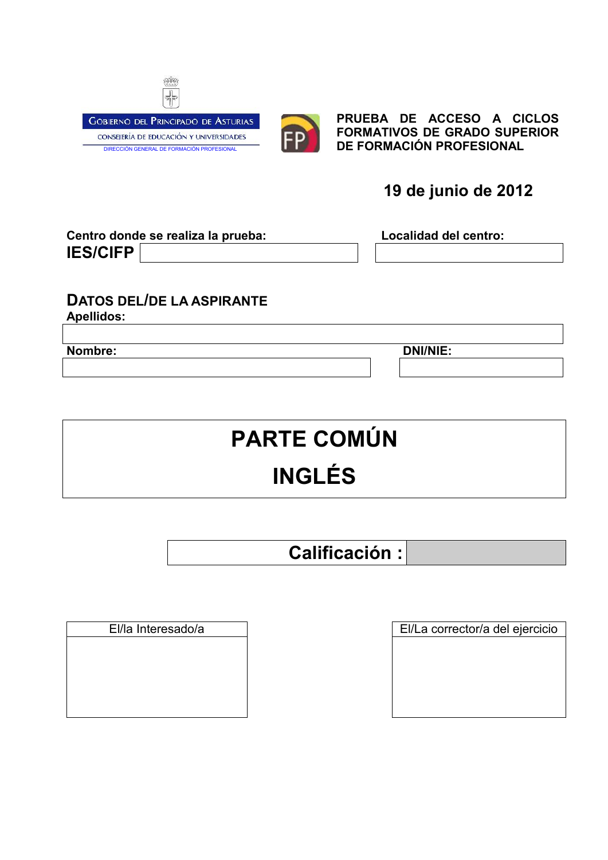



**PRUEBA DE ACCESO A CICLOS FORMATIVOS DE GRADO SUPERIOR DE FORMACIÓN PROFESIONAL**

## **19 de junio de 2012**

| Centro donde se realiza la prueba: |  |  |  |
|------------------------------------|--|--|--|
| <b>IES/CIFP</b>                    |  |  |  |

Localidad del centro:

## **DATOS DEL/DE LA ASPIRANTE**

**Apellidos:**

**Nombre: DNI/NIE:**

# **PARTE COMÚN INGLÉS**

**Calificación :**

El/la Interesado/a El/La corrector/a del ejercicio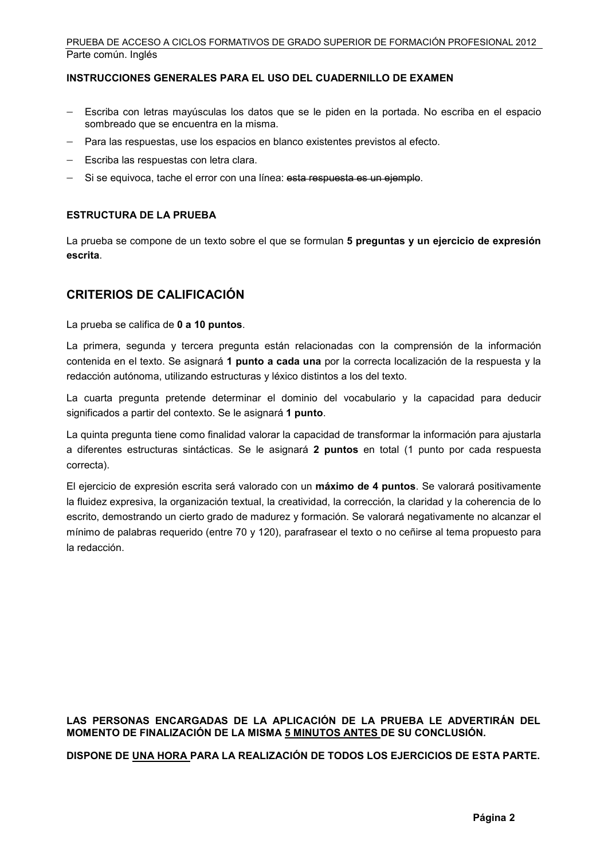#### PRUEBA DE ACCESO A CICLOS FORMATIVOS DE GRADO SUPERIOR DE FORMACIÓN PROFESIONAL 2012 Parte común. Inglés

#### **INSTRUCCIONES GENERALES PARA EL USO DEL CUADERNILLO DE EXAMEN**

- Escriba con letras mayúsculas los datos que se le piden en la portada. No escriba en el espacio sombreado que se encuentra en la misma.
- Para las respuestas, use los espacios en blanco existentes previstos al efecto.
- $-$  Escriba las respuestas con letra clara.
- Si se equivoca, tache el error con una línea: esta respuesta es un ejemplo.

#### **ESTRUCTURA DE LA PRUEBA**

La prueba se compone de un texto sobre el que se formulan **5 preguntas y un ejercicio de expresión escrita**.

### **CRITERIOS DE CALIFICACIÓN**

La prueba se califica de **0 a 10 puntos**.

La primera, segunda y tercera pregunta están relacionadas con la comprensión de la información contenida en el texto. Se asignará **1 punto a cada una** por la correcta localización de la respuesta y la redacción autónoma, utilizando estructuras y léxico distintos a los del texto.

La cuarta pregunta pretende determinar el dominio del vocabulario y la capacidad para deducir significados a partir del contexto. Se le asignará **1 punto**.

La quinta pregunta tiene como finalidad valorar la capacidad de transformar la información para ajustarla a diferentes estructuras sintácticas. Se le asignará **2 puntos** en total (1 punto por cada respuesta correcta).

El ejercicio de expresión escrita será valorado con un **máximo de 4 puntos**. Se valorará positivamente la fluidez expresiva, la organización textual, la creatividad, la corrección, la claridad y la coherencia de lo escrito, demostrando un cierto grado de madurez y formación. Se valorará negativamente no alcanzar el mínimo de palabras requerido (entre 70 y 120), parafrasear el texto o no ceñirse al tema propuesto para la redacción.

#### **LAS PERSONAS ENCARGADAS DE LA APLICACIÓN DE LA PRUEBA LE ADVERTIRÁN DEL MOMENTO DE FINALIZACIÓN DE LA MISMA 5 MINUTOS ANTES DE SU CONCLUSIÓN.**

**DISPONE DE UNA HORA PARA LA REALIZACIÓN DE TODOS LOS EJERCICIOS DE ESTA PARTE.**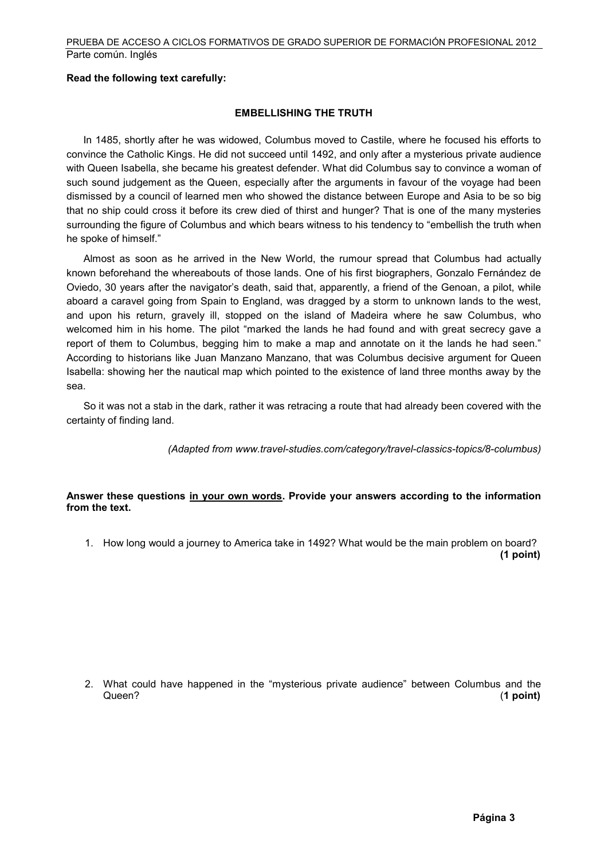#### **Read the following text carefully:**

#### **EMBELLISHING THE TRUTH**

 In 1485, shortly after he was widowed, Columbus moved to Castile, where he focused his efforts to convince the Catholic Kings. He did not succeed until 1492, and only after a mysterious private audience with Queen Isabella, she became his greatest defender. What did Columbus say to convince a woman of such sound judgement as the Queen, especially after the arguments in favour of the voyage had been dismissed by a council of learned men who showed the distance between Europe and Asia to be so big that no ship could cross it before its crew died of thirst and hunger? That is one of the many mysteries surrounding the figure of Columbus and which bears witness to his tendency to "embellish the truth when he spoke of himself."

 Almost as soon as he arrived in the New World, the rumour spread that Columbus had actually known beforehand the whereabouts of those lands. One of his first biographers, Gonzalo Fernández de Oviedo, 30 years after the navigator's death, said that, apparently, a friend of the Genoan, a pilot, while aboard a caravel going from Spain to England, was dragged by a storm to unknown lands to the west, and upon his return, gravely ill, stopped on the island of Madeira where he saw Columbus, who welcomed him in his home. The pilot "marked the lands he had found and with great secrecy gave a report of them to Columbus, begging him to make a map and annotate on it the lands he had seen." According to historians like Juan Manzano Manzano, that was Columbus decisive argument for Queen Isabella: showing her the nautical map which pointed to the existence of land three months away by the sea.

 So it was not a stab in the dark, rather it was retracing a route that had already been covered with the certainty of finding land.

*(Adapted from www.travel-studies.com/category/travel-classics-topics/8-columbus)*

#### **Answer these questions in your own words. Provide your answers according to the information from the text.**

1. How long would a journey to America take in 1492? What would be the main problem on board? **(1 point)**

2. What could have happened in the "mysterious private audience" between Columbus and the Queen? (**1 point)**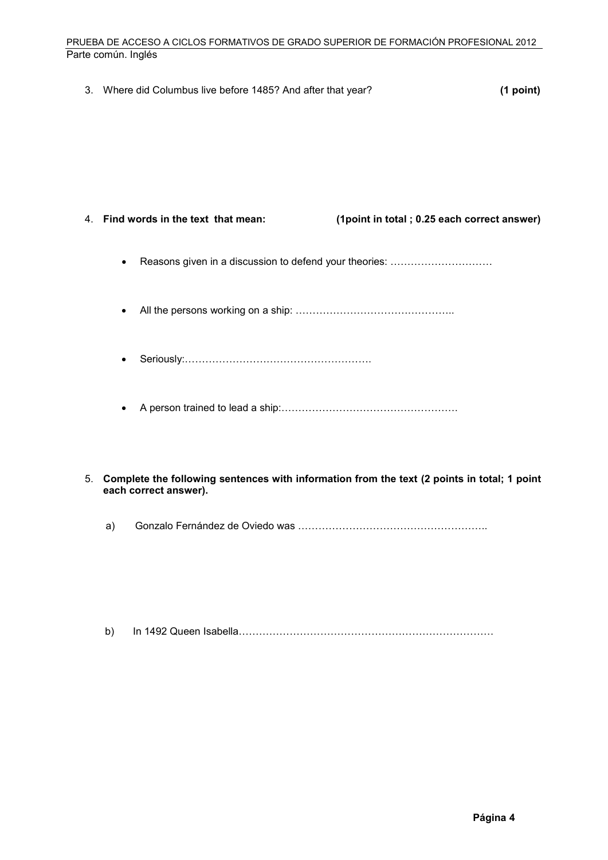#### PRUEBA DE ACCESO A CICLOS FORMATIVOS DE GRADO SUPERIOR DE FORMACIÓN PROFESIONAL 2012 Parte común. Inglés

| 3. | Where did Columbus live before 1485? And after that year? | $(1$ point)                                  |
|----|-----------------------------------------------------------|----------------------------------------------|
|    |                                                           |                                              |
|    |                                                           |                                              |
|    |                                                           |                                              |
|    | 4. Find words in the text that mean:                      | (1 point in total; 0.25 each correct answer) |
|    | $\bullet$                                                 |                                              |
|    | $\bullet$                                                 |                                              |
|    | ٠                                                         |                                              |
|    | $\bullet$                                                 |                                              |

- 5. **Complete the following sentences with information from the text (2 points in total; 1 point each correct answer).**
	- a) Gonzalo Fernández de Oviedo was ………………………………………………..

|--|--|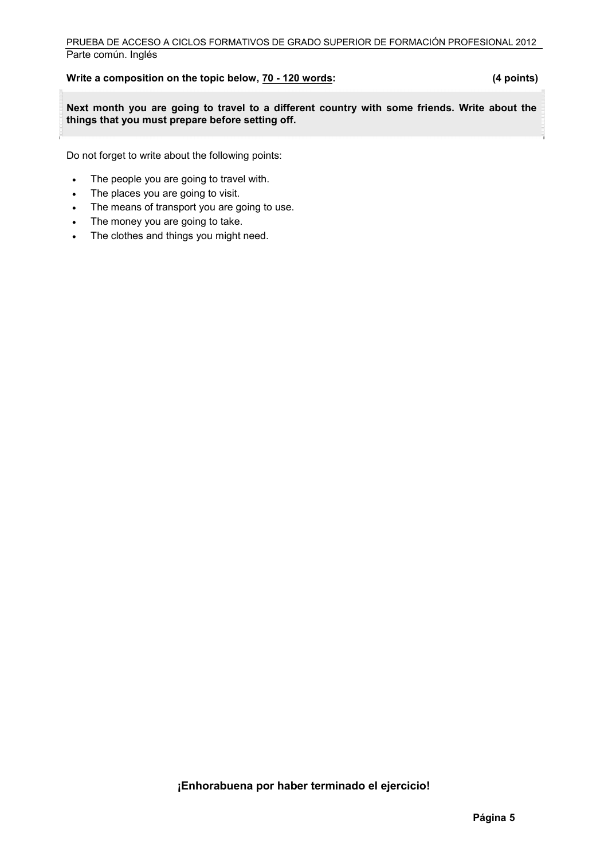#### **Write a composition on the topic below, 70 - 120 words: (4 points)**

Ē **Next month you are going to travel to a different country with some friends. Write about the things that you must prepare before setting off.**

Do not forget to write about the following points:

- The people you are going to travel with.
- The places you are going to visit.
- The means of transport you are going to use.
- The money you are going to take.
- The clothes and things you might need.